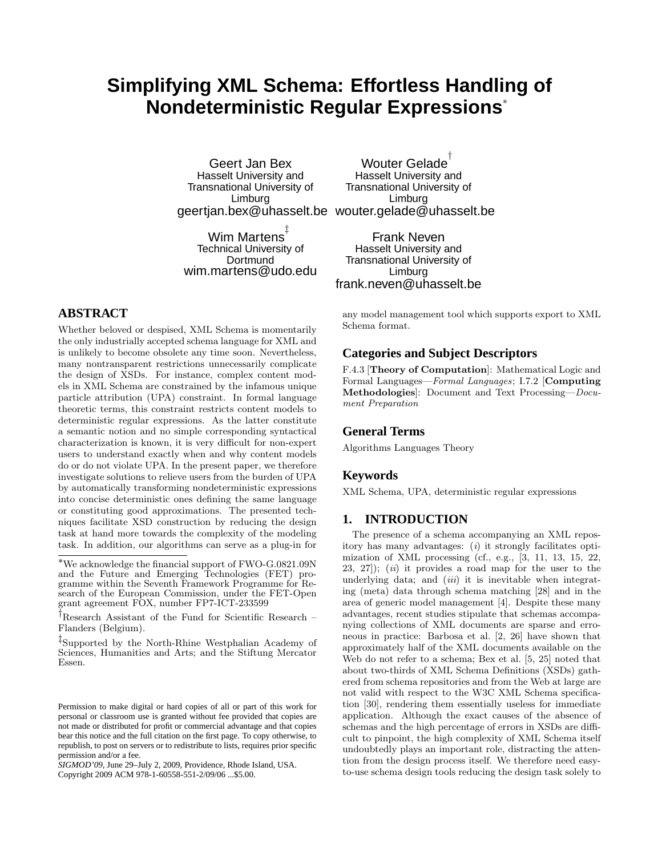# **Simplifying XML Schema: Effortless Handling of Nondeterministic Regular Expressions**<sup>∗</sup>

Geert Jan Bex Hasselt University and Transnational University of Limburg

geertjan.bex@uhasselt.be wouter.gelade@uhasselt.be Wouter Gelade $^\dagger$ Hasselt University and Transnational University of Limburg

Wim Martens ‡ Technical University of **Dortmund** wim.martens@udo.edu

# **ABSTRACT**

Whether beloved or despised, XML Schema is momentarily the only industrially accepted schema language for XML and is unlikely to become obsolete any time soon. Nevertheless, many nontransparent restrictions unnecessarily complicate the design of XSDs. For instance, complex content models in XML Schema are constrained by the infamous unique particle attribution (UPA) constraint. In formal language theoretic terms, this constraint restricts content models to deterministic regular expressions. As the latter constitute a semantic notion and no simple corresponding syntactical characterization is known, it is very difficult for non-expert users to understand exactly when and why content models do or do not violate UPA. In the present paper, we therefore investigate solutions to relieve users from the burden of UPA by automatically transforming nondeterministic expressions into concise deterministic ones defining the same language or constituting good approximations. The presented techniques facilitate XSD construction by reducing the design task at hand more towards the complexity of the modeling task. In addition, our algorithms can serve as a plug-in for

‡ Supported by the North-Rhine Westphalian Academy of Sciences, Humanities and Arts; and the Stiftung Mercator Essen.

*SIGMOD'09,* June 29–July 2, 2009, Providence, Rhode Island, USA. Copyright 2009 ACM 978-1-60558-551-2/09/06 ...\$5.00.

Frank Neven Hasselt University and Transnational University of Limburg frank.neven@uhasselt.be

any model management tool which supports export to XML Schema format.

# **Categories and Subject Descriptors**

F.4.3 [Theory of Computation]: Mathematical Logic and Formal Languages—Formal Languages; I.7.2 [Computing Methodologies]: Document and Text Processing—Document Preparation

#### **General Terms**

Algorithms Languages Theory

#### **Keywords**

XML Schema, UPA, deterministic regular expressions

## **1. INTRODUCTION**

The presence of a schema accompanying an XML repository has many advantages: (i) it strongly facilitates optimization of XML processing (cf., e.g., [3, 11, 13, 15, 22, 23, 27); (*ii*) it provides a road map for the user to the underlying data; and  $(iii)$  it is inevitable when integrating (meta) data through schema matching [28] and in the area of generic model management [4]. Despite these many advantages, recent studies stipulate that schemas accompanying collections of XML documents are sparse and erroneous in practice: Barbosa et al. [2, 26] have shown that approximately half of the XML documents available on the Web do not refer to a schema; Bex et al. [5, 25] noted that about two-thirds of XML Schema Definitions (XSDs) gathered from schema repositories and from the Web at large are not valid with respect to the W3C XML Schema specification [30], rendering them essentially useless for immediate application. Although the exact causes of the absence of schemas and the high percentage of errors in XSDs are difficult to pinpoint, the high complexity of XML Schema itself undoubtedly plays an important role, distracting the attention from the design process itself. We therefore need easyto-use schema design tools reducing the design task solely to

<sup>∗</sup>We acknowledge the financial support of FWO-G.0821.09N and the Future and Emerging Technologies (FET) programme within the Seventh Framework Programme for Research of the European Commission, under the FET-Open grant agreement FOX, number FP7-ICT-233599

<sup>†</sup>Research Assistant of the Fund for Scientific Research – Flanders (Belgium).

Permission to make digital or hard copies of all or part of this work for personal or classroom use is granted without fee provided that copies are not made or distributed for profit or commercial advantage and that copies bear this notice and the full citation on the first page. To copy otherwise, to republish, to post on servers or to redistribute to lists, requires prior specific permission and/or a fee.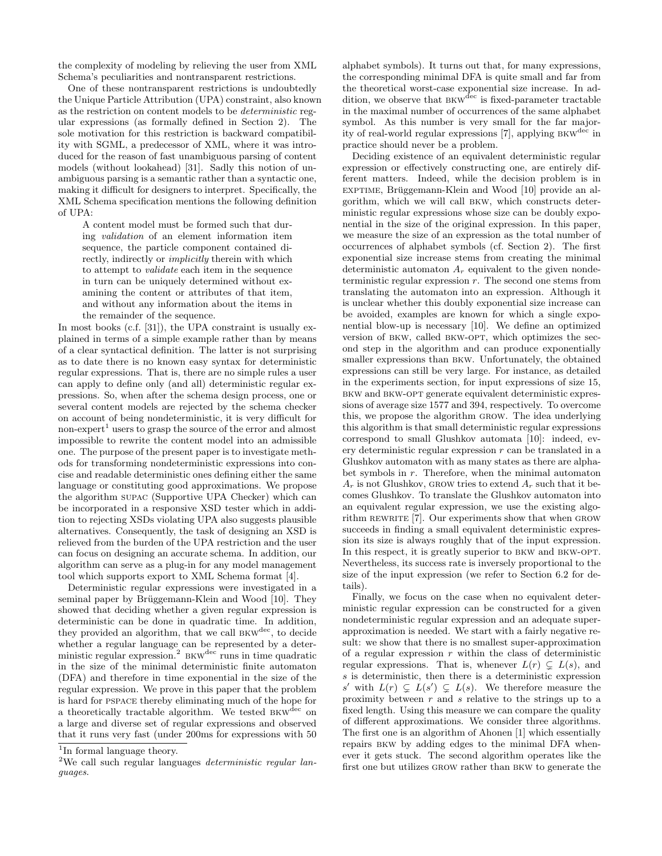the complexity of modeling by relieving the user from XML Schema's peculiarities and nontransparent restrictions.

One of these nontransparent restrictions is undoubtedly the Unique Particle Attribution (UPA) constraint, also known as the restriction on content models to be deterministic regular expressions (as formally defined in Section 2). The sole motivation for this restriction is backward compatibility with SGML, a predecessor of XML, where it was introduced for the reason of fast unambiguous parsing of content models (without lookahead) [31]. Sadly this notion of unambiguous parsing is a semantic rather than a syntactic one, making it difficult for designers to interpret. Specifically, the XML Schema specification mentions the following definition of UPA:

A content model must be formed such that during validation of an element information item sequence, the particle component contained directly, indirectly or implicitly therein with which to attempt to validate each item in the sequence in turn can be uniquely determined without examining the content or attributes of that item, and without any information about the items in the remainder of the sequence.

In most books (c.f. [31]), the UPA constraint is usually explained in terms of a simple example rather than by means of a clear syntactical definition. The latter is not surprising as to date there is no known easy syntax for deterministic regular expressions. That is, there are no simple rules a user can apply to define only (and all) deterministic regular expressions. So, when after the schema design process, one or several content models are rejected by the schema checker on account of being nondeterministic, it is very difficult for non-expert<sup>1</sup> users to grasp the source of the error and almost impossible to rewrite the content model into an admissible one. The purpose of the present paper is to investigate methods for transforming nondeterministic expressions into concise and readable deterministic ones defining either the same language or constituting good approximations. We propose the algorithm supac (Supportive UPA Checker) which can be incorporated in a responsive XSD tester which in addition to rejecting XSDs violating UPA also suggests plausible alternatives. Consequently, the task of designing an XSD is relieved from the burden of the UPA restriction and the user can focus on designing an accurate schema. In addition, our algorithm can serve as a plug-in for any model management tool which supports export to XML Schema format [4].

Deterministic regular expressions were investigated in a seminal paper by Brüggemann-Klein and Wood [10]. They showed that deciding whether a given regular expression is deterministic can be done in quadratic time. In addition, they provided an algorithm, that we call BKW<sup>dec</sup>, to decide whether a regular language can be represented by a deterministic regular expression.<sup>2</sup> BKW<sup>dec</sup> runs in time quadratic in the size of the minimal deterministic finite automaton (DFA) and therefore in time exponential in the size of the regular expression. We prove in this paper that the problem is hard for pspace thereby eliminating much of the hope for a theoretically tractable algorithm. We tested BKW<sup>dec</sup> on a large and diverse set of regular expressions and observed that it runs very fast (under 200ms for expressions with 50

alphabet symbols). It turns out that, for many expressions, the corresponding minimal DFA is quite small and far from the theoretical worst-case exponential size increase. In addition, we observe that  $BKW^{\text{dec}}$  is fixed-parameter tractable in the maximal number of occurrences of the same alphabet symbol. As this number is very small for the far majority of real-world regular expressions [7], applying bkwdec in practice should never be a problem.

Deciding existence of an equivalent deterministic regular expression or effectively constructing one, are entirely different matters. Indeed, while the decision problem is in EXPTIME, Brüggemann-Klein and Wood [10] provide an algorithm, which we will call bkw, which constructs deterministic regular expressions whose size can be doubly exponential in the size of the original expression. In this paper, we measure the size of an expression as the total number of occurrences of alphabet symbols (cf. Section 2). The first exponential size increase stems from creating the minimal deterministic automaton  $A_r$  equivalent to the given nondeterministic regular expression  $r$ . The second one stems from translating the automaton into an expression. Although it is unclear whether this doubly exponential size increase can be avoided, examples are known for which a single exponential blow-up is necessary [10]. We define an optimized version of BKW, called BKW-OPT, which optimizes the second step in the algorithm and can produce exponentially smaller expressions than BKW. Unfortunately, the obtained expressions can still be very large. For instance, as detailed in the experiments section, for input expressions of size 15, BKW and BKW-OPT generate equivalent deterministic expressions of average size 1577 and 394, respectively. To overcome this, we propose the algorithm grow. The idea underlying this algorithm is that small deterministic regular expressions correspond to small Glushkov automata [10]: indeed, every deterministic regular expression  $r$  can be translated in a Glushkov automaton with as many states as there are alphabet symbols in r. Therefore, when the minimal automaton  $A_r$  is not Glushkov, GROW tries to extend  $A_r$  such that it becomes Glushkov. To translate the Glushkov automaton into an equivalent regular expression, we use the existing algorithm REWRITE [7]. Our experiments show that when GROW succeeds in finding a small equivalent deterministic expression its size is always roughly that of the input expression. In this respect, it is greatly superior to BKW and BKW-OPT. Nevertheless, its success rate is inversely proportional to the size of the input expression (we refer to Section 6.2 for details).

Finally, we focus on the case when no equivalent deterministic regular expression can be constructed for a given nondeterministic regular expression and an adequate superapproximation is needed. We start with a fairly negative result: we show that there is no smallest super-approximation of a regular expression  $r$  within the class of deterministic regular expressions. That is, whenever  $L(r) \subsetneq L(s)$ , and s is deterministic, then there is a deterministic expression s' with  $L(r) \subsetneq L(s') \subsetneq L(s)$ . We therefore measure the proximity between  $r$  and  $s$  relative to the strings up to a fixed length. Using this measure we can compare the quality of different approximations. We consider three algorithms. The first one is an algorithm of Ahonen [1] which essentially repairs bkw by adding edges to the minimal DFA whenever it gets stuck. The second algorithm operates like the first one but utilizes grow rather than bkw to generate the

<sup>&</sup>lt;sup>1</sup>In formal language theory.

<sup>2</sup>We call such regular languages deterministic regular languages.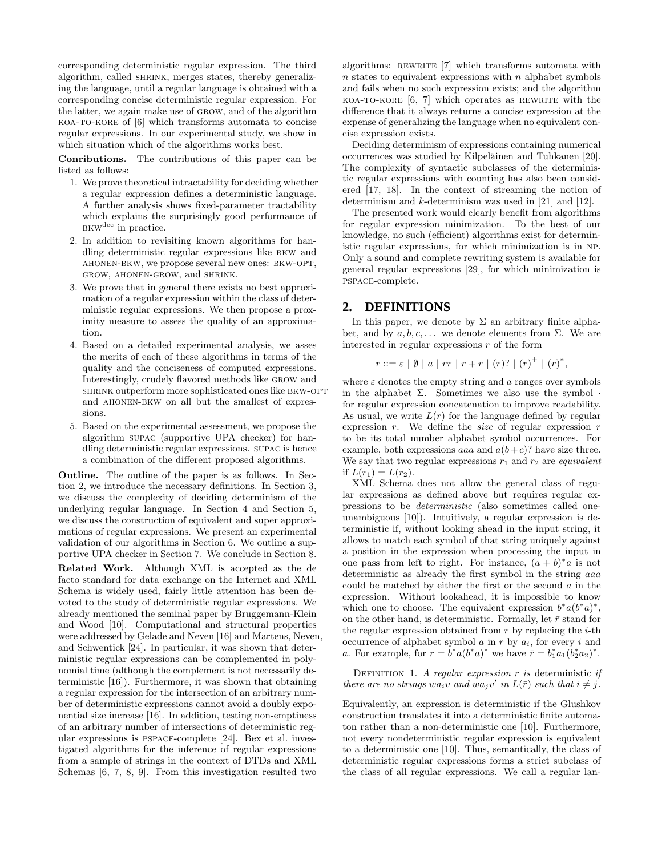corresponding deterministic regular expression. The third algorithm, called SHRINK, merges states, thereby generalizing the language, until a regular language is obtained with a corresponding concise deterministic regular expression. For the latter, we again make use of grow, and of the algorithm koa-to-kore of [6] which transforms automata to concise regular expressions. In our experimental study, we show in which situation which of the algorithms works best.

Conributions. The contributions of this paper can be listed as follows:

- 1. We prove theoretical intractability for deciding whether a regular expression defines a deterministic language. A further analysis shows fixed-parameter tractability which explains the surprisingly good performance of bkwdec in practice.
- 2. In addition to revisiting known algorithms for handling deterministic regular expressions like bkw and ahonen-bkw, we propose several new ones: bkw-opt, grow, ahonen-grow, and shrink.
- 3. We prove that in general there exists no best approximation of a regular expression within the class of deterministic regular expressions. We then propose a proximity measure to assess the quality of an approximation.
- 4. Based on a detailed experimental analysis, we asses the merits of each of these algorithms in terms of the quality and the conciseness of computed expressions. Interestingly, crudely flavored methods like grow and shrink outperform more sophisticated ones like bkw-opt and ahonen-bkw on all but the smallest of expressions.
- 5. Based on the experimental assessment, we propose the algorithm supac (supportive UPA checker) for handling deterministic regular expressions. supac is hence a combination of the different proposed algorithms.

Outline. The outline of the paper is as follows. In Section 2, we introduce the necessary definitions. In Section 3, we discuss the complexity of deciding determinism of the underlying regular language. In Section 4 and Section 5, we discuss the construction of equivalent and super approximations of regular expressions. We present an experimental validation of our algorithms in Section 6. We outline a supportive UPA checker in Section 7. We conclude in Section 8.

Related Work. Although XML is accepted as the de facto standard for data exchange on the Internet and XML Schema is widely used, fairly little attention has been devoted to the study of deterministic regular expressions. We already mentioned the seminal paper by Bruggemann-Klein and Wood [10]. Computational and structural properties were addressed by Gelade and Neven [16] and Martens, Neven, and Schwentick [24]. In particular, it was shown that deterministic regular expressions can be complemented in polynomial time (although the complement is not necessarily deterministic [16]). Furthermore, it was shown that obtaining a regular expression for the intersection of an arbitrary number of deterministic expressions cannot avoid a doubly exponential size increase [16]. In addition, testing non-emptiness of an arbitrary number of intersections of deterministic regular expressions is pspace-complete [24]. Bex et al. investigated algorithms for the inference of regular expressions from a sample of strings in the context of DTDs and XML Schemas [6, 7, 8, 9]. From this investigation resulted two

algorithms: REWRITE [7] which transforms automata with  $n$  states to equivalent expressions with  $n$  alphabet symbols and fails when no such expression exists; and the algorithm KOA-TO-KORE  $[6, 7]$  which operates as REWRITE with the difference that it always returns a concise expression at the expense of generalizing the language when no equivalent concise expression exists.

Deciding determinism of expressions containing numerical occurrences was studied by Kilpeläinen and Tuhkanen [20]. The complexity of syntactic subclasses of the deterministic regular expressions with counting has also been considered [17, 18]. In the context of streaming the notion of determinism and k-determinism was used in [21] and [12].

The presented work would clearly benefit from algorithms for regular expression minimization. To the best of our knowledge, no such (efficient) algorithms exist for deterministic regular expressions, for which minimization is in np. Only a sound and complete rewriting system is available for general regular expressions [29], for which minimization is pspace-complete.

#### **2. DEFINITIONS**

In this paper, we denote by  $\Sigma$  an arbitrary finite alphabet, and by  $a, b, c, \ldots$  we denote elements from  $\Sigma$ . We are interested in regular expressions  $r$  of the form

$$
r ::= \varepsilon \mid \emptyset \mid a \mid rr \mid r + r \mid (r)? \mid (r)^{+} \mid (r)^{*},
$$

where  $\varepsilon$  denotes the empty string and a ranges over symbols in the alphabet  $\Sigma$ . Sometimes we also use the symbol  $\cdot$ for regular expression concatenation to improve readability. As usual, we write  $L(r)$  for the language defined by regular expression  $r$ . We define the *size* of regular expression  $r$ to be its total number alphabet symbol occurrences. For example, both expressions aaa and  $a(b+c)$ ? have size three. We say that two regular expressions  $r_1$  and  $r_2$  are *equivalent* if  $L(r_1) = L(r_2)$ .

XML Schema does not allow the general class of regular expressions as defined above but requires regular expressions to be deterministic (also sometimes called oneunambiguous [10]). Intuitively, a regular expression is deterministic if, without looking ahead in the input string, it allows to match each symbol of that string uniquely against a position in the expression when processing the input in one pass from left to right. For instance,  $(a + b)^* a$  is not deterministic as already the first symbol in the string aaa could be matched by either the first or the second a in the expression. Without lookahead, it is impossible to know which one to choose. The equivalent expression  $b^* a (b^* a)^*$ , on the other hand, is deterministic. Formally, let  $\bar{r}$  stand for the regular expression obtained from  $r$  by replacing the  $i$ -th occurrence of alphabet symbol  $a$  in  $r$  by  $a_i$ , for every  $i$  and *a*. For example, for  $r = b^* a (b^* a)^*$  we have  $\bar{r} = b_1^* a_1 (b_2^* a_2)^*$ .

DEFINITION 1. A regular expression  $r$  is deterministic if there are no strings wa<sub>i</sub>v and wa<sub>j</sub>v' in  $L(\bar{r})$  such that  $i \neq j$ .

Equivalently, an expression is deterministic if the Glushkov construction translates it into a deterministic finite automaton rather than a non-deterministic one [10]. Furthermore, not every nondeterministic regular expression is equivalent to a deterministic one [10]. Thus, semantically, the class of deterministic regular expressions forms a strict subclass of the class of all regular expressions. We call a regular lan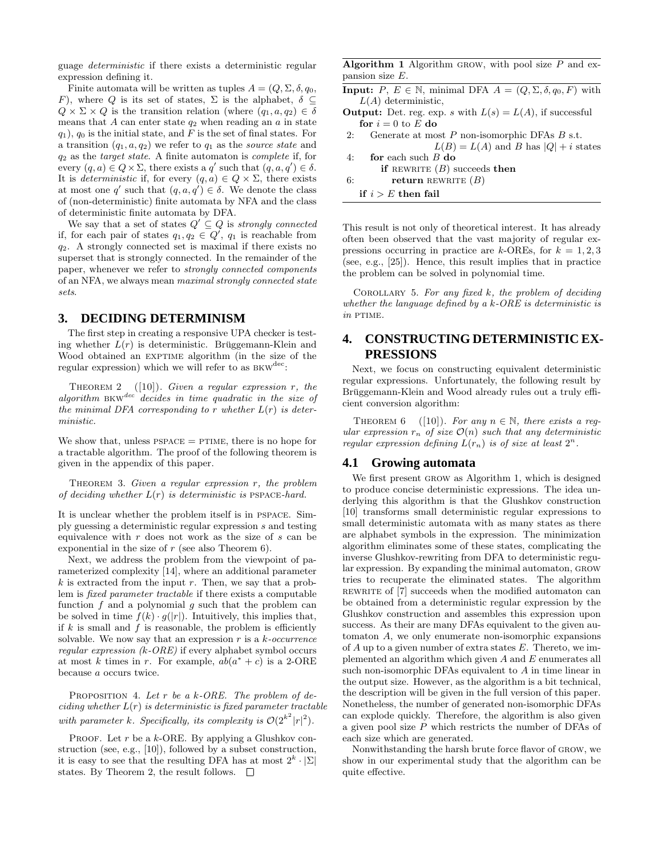guage deterministic if there exists a deterministic regular expression defining it.

Finite automata will be written as tuples  $A = (Q, \Sigma, \delta, q_0,$ F), where Q is its set of states,  $\Sigma$  is the alphabet,  $\delta \subseteq$  $Q \times \Sigma \times Q$  is the transition relation (where  $(q_1, a, q_2) \in \delta$ means that A can enter state  $q_2$  when reading an a in state  $q_1$ ,  $q_0$  is the initial state, and F is the set of final states. For a transition  $(q_1, a, q_2)$  we refer to  $q_1$  as the source state and  $q_2$  as the *target state*. A finite automaton is *complete* if, for every  $(q, a) \in Q \times \Sigma$ , there exists a q' such that  $(q, a, q') \in \delta$ . It is *deterministic* if, for every  $(q, a) \in Q \times \Sigma$ , there exists at most one q' such that  $(q, a, q') \in \delta$ . We denote the class of (non-deterministic) finite automata by NFA and the class of deterministic finite automata by DFA.

We say that a set of states  $Q' \subseteq Q$  is strongly connected if, for each pair of states  $q_1, q_2 \in Q'$ ,  $q_1$  is reachable from  $q_2$ . A strongly connected set is maximal if there exists no superset that is strongly connected. In the remainder of the paper, whenever we refer to strongly connected components of an NFA, we always mean maximal strongly connected state sets.

## **3. DECIDING DETERMINISM**

The first step in creating a responsive UPA checker is testing whether  $L(r)$  is deterministic. Brüggemann-Klein and Wood obtained an EXPTIME algorithm (in the size of the regular expression) which we will refer to as BKW<sup>dec</sup>:

THEOREM 2  $([10])$ . Given a regular expression r, the algorithm BKW<sup>dec</sup> decides in time quadratic in the size of the minimal DFA corresponding to r whether  $L(r)$  is deterministic.

We show that, unless  $PSPACE = PTIME$ , there is no hope for a tractable algorithm. The proof of the following theorem is given in the appendix of this paper.

THEOREM 3. Given a regular expression  $r$ , the problem of deciding whether  $L(r)$  is deterministic is PSPACE-hard.

It is unclear whether the problem itself is in pspace. Simply guessing a deterministic regular expression s and testing equivalence with  $r$  does not work as the size of  $s$  can be exponential in the size of  $r$  (see also Theorem 6).

Next, we address the problem from the viewpoint of parameterized complexity [14], where an additional parameter  $k$  is extracted from the input  $r$ . Then, we say that a problem is fixed parameter tractable if there exists a computable function  $f$  and a polynomial  $q$  such that the problem can be solved in time  $f(k) \cdot q(|r|)$ . Intuitively, this implies that, if  $k$  is small and  $f$  is reasonable, the problem is efficiently solvable. We now say that an expression  $r$  is a  $k$ -occurrence regular expression (k-ORE) if every alphabet symbol occurs at most k times in r. For example,  $ab(a^* + c)$  is a 2-ORE because a occurs twice.

PROPOSITION 4. Let  $r$  be a  $k$ -ORE. The problem of deciding whether  $L(r)$  is deterministic is fixed parameter tractable with parameter k. Specifically, its complexity is  $\mathcal{O}(2^{k^2}|r|^2)$ .

PROOF. Let  $r$  be a  $k$ -ORE. By applying a Glushkov construction (see, e.g., [10]), followed by a subset construction, it is easy to see that the resulting DFA has at most  $2^k \cdot |\Sigma|$ states. By Theorem 2, the result follows.  $\square$ 

**Algorithm 1** Algorithm GROW, with pool size  $P$  and expansion size E.

**Input:**  $P, E \in \mathbb{N}$ , minimal DFA  $A = (Q, \Sigma, \delta, q_0, F)$  with  $L(A)$  deterministic,

**Output:** Det. reg. exp. s with  $L(s) = L(A)$ , if successful for  $i = 0$  to E do

2: Generate at most  $P$  non-isomorphic DFAs  $B$  s.t.  $L(B) = L(A)$  and B has  $|Q| + i$  states

4: for each such  $B$  do if REWRITE  $(B)$  succeeds then 6: return REWRITE  $(B)$ if  $i > E$  then fail

This result is not only of theoretical interest. It has already often been observed that the vast majority of regular expressions occurring in practice are k-OREs, for  $k = 1, 2, 3$ (see, e.g., [25]). Hence, this result implies that in practice the problem can be solved in polynomial time.

COROLLARY 5. For any fixed  $k$ , the problem of deciding whether the language defined by a  $k$ -ORE is deterministic is  $in$   $PTIME.$ 

# **4. CONSTRUCTING DETERMINISTIC EX-PRESSIONS**

Next, we focus on constructing equivalent deterministic regular expressions. Unfortunately, the following result by Brüggemann-Klein and Wood already rules out a truly efficient conversion algorithm:

THEOREM 6 ([10]). For any  $n \in \mathbb{N}$ , there exists a regular expression  $r_n$  of size  $\mathcal{O}(n)$  such that any deterministic regular expression defining  $L(r_n)$  is of size at least  $2^n$ .

#### **4.1 Growing automata**

We first present GROW as Algorithm 1, which is designed to produce concise deterministic expressions. The idea underlying this algorithm is that the Glushkov construction [10] transforms small deterministic regular expressions to small deterministic automata with as many states as there are alphabet symbols in the expression. The minimization algorithm eliminates some of these states, complicating the inverse Glushkov-rewriting from DFA to deterministic regular expression. By expanding the minimal automaton, grow tries to recuperate the eliminated states. The algorithm REWRITE of [7] succeeds when the modified automaton can be obtained from a deterministic regular expression by the Glushkov construction and assembles this expression upon success. As their are many DFAs equivalent to the given automaton A, we only enumerate non-isomorphic expansions of  $A$  up to a given number of extra states  $E$ . Thereto, we implemented an algorithm which given A and E enumerates all such non-isomorphic DFAs equivalent to A in time linear in the output size. However, as the algorithm is a bit technical, the description will be given in the full version of this paper. Nonetheless, the number of generated non-isomorphic DFAs can explode quickly. Therefore, the algorithm is also given a given pool size P which restricts the number of DFAs of each size which are generated.

Nonwithstanding the harsh brute force flavor of grow, we show in our experimental study that the algorithm can be quite effective.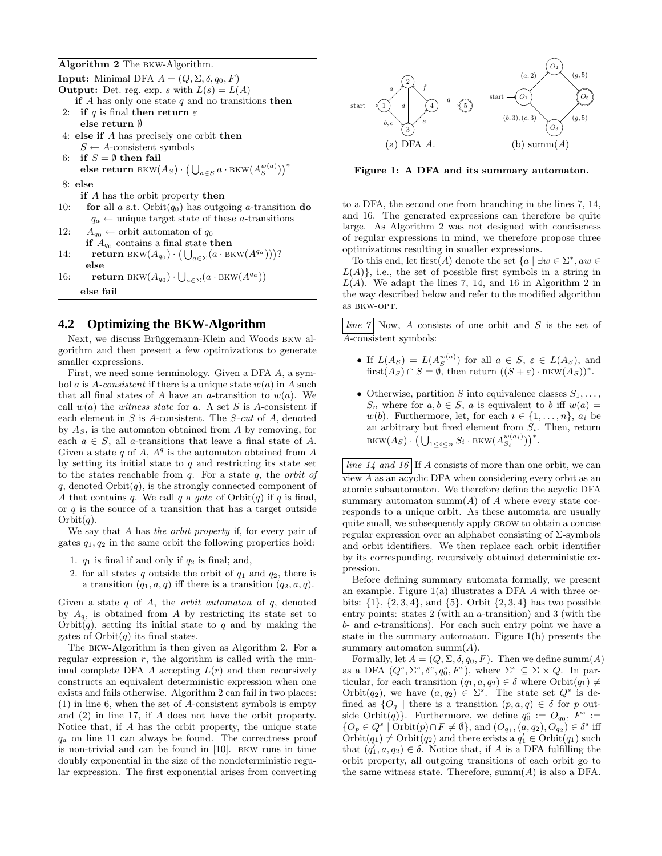Algorithm 2 The bkw-Algorithm.

**Input:** Minimal DFA  $A = (Q, \Sigma, \delta, q_0, F)$ **Output:** Det. reg. exp. s with  $L(s) = L(A)$ if A has only one state  $q$  and no transitions then 2: if q is final then return  $\varepsilon$ else return ∅ 4: else if A has precisely one orbit then  $S \leftarrow A$ -consistent symbols 6: if  $S = \emptyset$  then fail else return  $\textsc{b}\textsc{kw}(A_S) \cdot \big(\bigcup_{a \in S} a \cdot \textsc{b}\textsc{kw}(A_S^{w(a)})\big)^*$ 8: else if A has the orbit property then 10: **for** all a s.t. Orbit $(q_0)$  has outgoing a-transition **do**  $q_a \leftarrow$  unique target state of these a-transitions 12:  $A_{q_0} \leftarrow$  orbit automaton of  $q_0$ if  $A_{q_0}$  contains a final state then 14: **return** BKW $(A_{q_0}) \cdot (\bigcup_{a \in \Sigma} (a \cdot BKW(A^{q_a})))$ ?

else 16: **return** BKW $(A_{q_0}) \cdot \bigcup_{a \in \Sigma} (a \cdot BKW(A^{q_a}))$ else fail

# **4.2 Optimizing the BKW-Algorithm**

Next, we discuss Brüggemann-Klein and Woods BKW algorithm and then present a few optimizations to generate smaller expressions.

First, we need some terminology. Given a DFA A, a symbol a is A-consistent if there is a unique state  $w(a)$  in A such that all final states of A have an a-transition to  $w(a)$ . We call  $w(a)$  the witness state for a. A set S is A-consistent if each element in  $S$  is A-consistent. The  $S$ -cut of A, denoted by  $A<sub>S</sub>$ , is the automaton obtained from A by removing, for each  $a \in S$ , all a-transitions that leave a final state of A. Given a state  $q$  of  $A$ ,  $A<sup>q</sup>$  is the automaton obtained from  $A$ by setting its initial state to  $q$  and restricting its state set to the states reachable from  $q$ . For a state  $q$ , the *orbit of*  $q$ , denoted  $Orbit(q)$ , is the strongly connected component of A that contains q. We call q a gate of  $Orbit(q)$  if q is final, or  $q$  is the source of a transition that has a target outside  $Orbit(q)$ .

We say that A has the *orbit property* if, for every pair of gates  $q_1, q_2$  in the same orbit the following properties hold:

- 1.  $q_1$  is final if and only if  $q_2$  is final; and,
- 2. for all states q outside the orbit of  $q_1$  and  $q_2$ , there is a transition  $(q_1, a, q)$  iff there is a transition  $(q_2, a, q)$ .

Given a state  $q$  of  $A$ , the *orbit automaton* of  $q$ , denoted by  $A_q$ , is obtained from A by restricting its state set to  $Orbit(q)$ , setting its initial state to q and by making the gates of  $Orbit(q)$  its final states.

The bkw-Algorithm is then given as Algorithm 2. For a regular expression  $r$ , the algorithm is called with the minimal complete DFA A accepting  $L(r)$  and then recursively constructs an equivalent deterministic expression when one exists and fails otherwise. Algorithm 2 can fail in two places: (1) in line 6, when the set of A-consistent symbols is empty and (2) in line 17, if A does not have the orbit property. Notice that, if A has the orbit property, the unique state  $q_a$  on line 11 can always be found. The correctness proof is non-trivial and can be found in [10]. bkw runs in time doubly exponential in the size of the nondeterministic regular expression. The first exponential arises from converting



Figure 1: A DFA and its summary automaton.

to a DFA, the second one from branching in the lines 7, 14, and 16. The generated expressions can therefore be quite large. As Algorithm 2 was not designed with conciseness of regular expressions in mind, we therefore propose three optimizations resulting in smaller expressions.

To this end, let first(A) denote the set  $\{a \mid \exists w \in \Sigma^*, aw \in \Sigma^* \}$  $L(A)$ , i.e., the set of possible first symbols in a string in  $L(A)$ . We adapt the lines 7, 14, and 16 in Algorithm 2 in the way described below and refer to the modified algorithm as bkw-opt.

line  $7$  Now, A consists of one orbit and S is the set of A-consistent symbols:

- If  $L(A_S) = L(A_S^{w(a)})$  for all  $a \in S$ ,  $\varepsilon \in L(A_S)$ , and first $(A_S) \cap S = \emptyset$ , then return  $((S + \varepsilon) \cdot BK W(A_S))^*$ .
- Otherwise, partition S into equivalence classes  $S_1, \ldots$ ,  $S_n$  where for  $a, b \in S$ , a is equivalent to b iff  $w(a) =$ w(b). Furthermore, let, for each  $i \in \{1, \ldots, n\}$ ,  $a_i$  be an arbitrary but fixed element from  $S_i$ . Then, return  $BKW(A_S)\cdot\left(\bigcup_{1\leq i\leq n}S_i\cdot BKW(A^{w(a_i)}_{S_i})\right)^*.$

line  $14$  and  $16$  If A consists of more than one orbit, we can view A as an acyclic DFA when considering every orbit as an atomic subautomaton. We therefore define the acyclic DFA summary automaton summ $(A)$  of A where every state corresponds to a unique orbit. As these automata are usually quite small, we subsequently apply grow to obtain a concise regular expression over an alphabet consisting of  $\Sigma$ -symbols and orbit identifiers. We then replace each orbit identifier by its corresponding, recursively obtained deterministic expression.

Before defining summary automata formally, we present an example. Figure 1(a) illustrates a DFA A with three orbits:  $\{1\}$ ,  $\{2, 3, 4\}$ , and  $\{5\}$ . Orbit  $\{2, 3, 4\}$  has two possible entry points: states 2 (with an a-transition) and 3 (with the b- and c-transitions). For each such entry point we have a state in the summary automaton. Figure 1(b) presents the summary automaton summ $(A)$ .

Formally, let  $A = (Q, \Sigma, \delta, q_0, F)$ . Then we define summ $(A)$ as a DFA  $(Q^s, \Sigma^s, \delta^s, q_0^s, F^s)$ , where  $\Sigma^s \subseteq \Sigma \times Q$ . In particular, for each transition  $(q_1, a, q_2) \in \delta$  where  $Orbit(q_1) \neq$ Orbit $(q_2)$ , we have  $(a, q_2) \in \Sigma^s$ . The state set  $Q^s$  is defined as  $\{O_q \mid \text{there is a transition } (p, a, q) \in \delta \text{ for } p \text{ out-}$ side Orbit $(q)$ }. Furthermore, we define  $q_0^s := O_{q_0}, F^s :=$  $\{O_p \in Q^s \mid \text{Orbit}(p) \cap F \neq \emptyset\}$ , and  $(O_{q_1}, (a, q_2), O_{q_2}) \in \delta^s$  iff  $Orbit(q_1) \neq Orbit(q_2)$  and there exists a  $q'_1 \in Orbit(q_1)$  such that  $(q_1, a, q_2) \in \delta$ . Notice that, if A is a DFA fulfilling the orbit property, all outgoing transitions of each orbit go to the same witness state. Therefore, summ $(A)$  is also a DFA.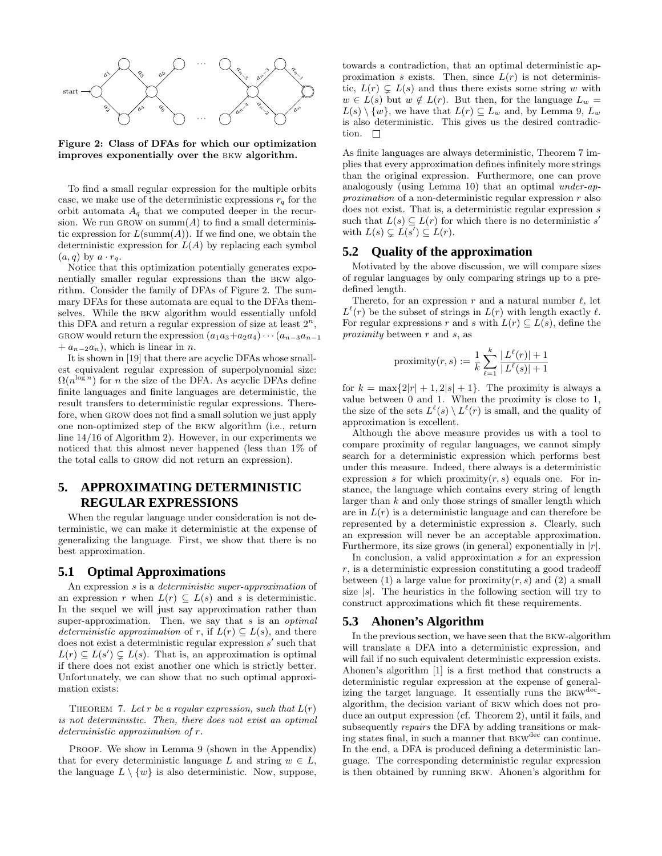

Figure 2: Class of DFAs for which our optimization improves exponentially over the bkw algorithm.

To find a small regular expression for the multiple orbits case, we make use of the deterministic expressions  $r_q$  for the orbit automata  $A_q$  that we computed deeper in the recursion. We run GROW on  $\text{summ}(A)$  to find a small deterministic expression for  $L(\text{summ}(A))$ . If we find one, we obtain the deterministic expression for  $L(A)$  by replacing each symbol  $(a, q)$  by  $a \cdot r_q$ .

Notice that this optimization potentially generates exponentially smaller regular expressions than the bkw algorithm. Consider the family of DFAs of Figure 2. The summary DFAs for these automata are equal to the DFAs themselves. While the bkw algorithm would essentially unfold this DFA and return a regular expression of size at least  $2^n$ , GROW would return the expression  $(a_1a_3+a_2a_4)\cdots(a_{n-3}a_{n-1})$  $+a_{n-2}a_n$ , which is linear in n.

It is shown in [19] that there are acyclic DFAs whose smallest equivalent regular expression of superpolynomial size:  $\Omega(n^{\log n})$  for *n* the size of the DFA. As acyclic DFAs define finite languages and finite languages are deterministic, the result transfers to deterministic regular expressions. Therefore, when grow does not find a small solution we just apply one non-optimized step of the bkw algorithm (i.e., return line 14/16 of Algorithm 2). However, in our experiments we noticed that this almost never happened (less than 1% of the total calls to grow did not return an expression).

# **5. APPROXIMATING DETERMINISTIC REGULAR EXPRESSIONS**

When the regular language under consideration is not deterministic, we can make it deterministic at the expense of generalizing the language. First, we show that there is no best approximation.

## **5.1 Optimal Approximations**

An expression s is a *deterministic super-approximation* of an expression r when  $L(r) \subseteq L(s)$  and s is deterministic. In the sequel we will just say approximation rather than super-approximation. Then, we say that  $s$  is an *optimal* deterministic approximation of r, if  $L(r) \subseteq L(s)$ , and there does not exist a deterministic regular expression  $s'$  such that  $L(r) \subseteq L(s') \subsetneq L(s)$ . That is, an approximation is optimal if there does not exist another one which is strictly better. Unfortunately, we can show that no such optimal approximation exists:

THEOREM 7. Let r be a regular expression, such that  $L(r)$ is not deterministic. Then, there does not exist an optimal deterministic approximation of r.

PROOF. We show in Lemma 9 (shown in the Appendix) that for every deterministic language L and string  $w \in L$ , the language  $L \setminus \{w\}$  is also deterministic. Now, suppose,

towards a contradiction, that an optimal deterministic approximation s exists. Then, since  $L(r)$  is not deterministic,  $L(r) \subsetneq L(s)$  and thus there exists some string w with  $w \in L(s)$  but  $w \notin L(r)$ . But then, for the language  $L_w =$  $L(s) \setminus \{w\}$ , we have that  $L(r) \subseteq L_w$  and, by Lemma 9,  $L_w$ is also deterministic. This gives us the desired contradiction.  $\Box$ 

As finite languages are always deterministic, Theorem 7 implies that every approximation defines infinitely more strings than the original expression. Furthermore, one can prove analogously (using Lemma 10) that an optimal under-approximation of a non-deterministic regular expression r also does not exist. That is, a deterministic regular expression s such that  $L(s) \subseteq L(r)$  for which there is no deterministic s' with  $L(s) \subsetneq L(s') \subseteq L(r)$ .

## **5.2 Quality of the approximation**

Motivated by the above discussion, we will compare sizes of regular languages by only comparing strings up to a predefined length.

Thereto, for an expression r and a natural number  $\ell$ , let  $L^{\ell}(r)$  be the subset of strings in  $L(r)$  with length exactly  $\ell$ . For regular expressions r and s with  $L(r) \subseteq L(s)$ , define the proximity between r and s, as

$$
\text{proximity}(r,s) := \frac{1}{k} \sum_{\ell=1}^{k} \frac{|L^{\ell}(r)| + 1}{|L^{\ell}(s)| + 1}
$$

for  $k = \max\{2|r| + 1, 2|s| + 1\}$ . The proximity is always a value between 0 and 1. When the proximity is close to 1, the size of the sets  $L^{\ell}(s) \setminus L^{\ell}(r)$  is small, and the quality of approximation is excellent.

Although the above measure provides us with a tool to compare proximity of regular languages, we cannot simply search for a deterministic expression which performs best under this measure. Indeed, there always is a deterministic expression s for which proximity $(r, s)$  equals one. For instance, the language which contains every string of length larger than k and only those strings of smaller length which are in  $L(r)$  is a deterministic language and can therefore be represented by a deterministic expression s. Clearly, such an expression will never be an acceptable approximation. Furthermore, its size grows (in general) exponentially in  $|r|$ .

In conclusion, a valid approximation s for an expression  $r$ , is a deterministic expression constituting a good tradeoff between (1) a large value for proximity $(r, s)$  and (2) a small size  $|s|$ . The heuristics in the following section will try to construct approximations which fit these requirements.

#### **5.3 Ahonen's Algorithm**

In the previous section, we have seen that the bkw-algorithm will translate a DFA into a deterministic expression, and will fail if no such equivalent deterministic expression exists. Ahonen's algorithm [1] is a first method that constructs a deterministic regular expression at the expense of generalizing the target language. It essentially runs the BKW<sup>dec</sup>algorithm, the decision variant of bkw which does not produce an output expression (cf. Theorem 2), until it fails, and subsequently *repairs* the DFA by adding transitions or making states final, in such a manner that bkwdec can continue. In the end, a DFA is produced defining a deterministic language. The corresponding deterministic regular expression is then obtained by running bkw. Ahonen's algorithm for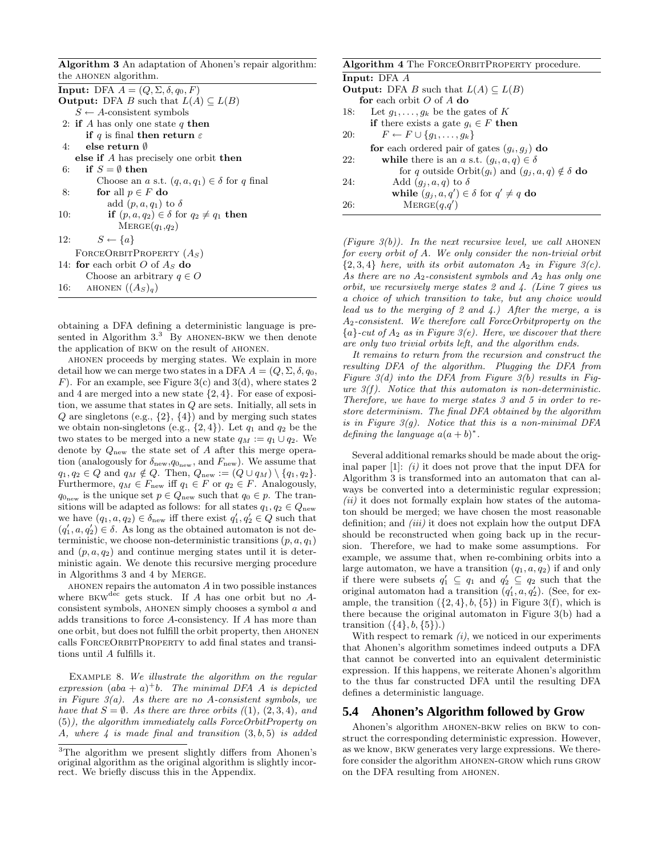Algorithm 3 An adaptation of Ahonen's repair algorithm: the ahonen algorithm.

| <b>Input:</b> DFA $A = (Q, \Sigma, \delta, q_0, F)$        |
|------------------------------------------------------------|
| <b>Output:</b> DFA B such that $L(A) \subseteq L(B)$       |
| $S \leftarrow A$ -consistent symbols                       |
| 2: if A has only one state q then                          |
| if q is final then return $\varepsilon$                    |
| 4: else return $\emptyset$                                 |
| else if A has precisely one orbit then                     |
| if $S = \emptyset$ then<br>6:                              |
| Choose an a s.t. $(q, a, q_1) \in \delta$ for q final      |
| for all $p \in F$ do<br>8:                                 |
| add $(p, a, q_1)$ to $\delta$                              |
| if $(p, a, q_2) \in \delta$ for $q_2 \neq q_1$ then<br>10: |
| $MERGE(q_1,q_2)$                                           |
| $S \leftarrow \{a\}$<br>12:                                |
| FORCEORBITPROPERTY $(A_S)$                                 |
| 14: for each orbit O of $A_s$ do                           |
| Choose an arbitrary $q \in O$                              |
| AHONEN $((A_S)_a)$<br>16:                                  |
|                                                            |

obtaining a DFA defining a deterministic language is presented in Algorithm  $3<sup>3</sup>$  By AHONEN-BKW we then denote the application of bkw on the result of ahonen.

ahonen proceeds by merging states. We explain in more detail how we can merge two states in a DFA  $A = (Q, \Sigma, \delta, q_0,$ F). For an example, see Figure 3(c) and 3(d), where states 2 and 4 are merged into a new state  $\{2, 4\}$ . For ease of exposition, we assume that states in Q are sets. Initially, all sets in  $Q$  are singletons (e.g.,  $\{2\}$ ,  $\{4\}$ ) and by merging such states we obtain non-singletons (e.g.,  $\{2, 4\}$ ). Let  $q_1$  and  $q_2$  be the two states to be merged into a new state  $q_M := q_1 \cup q_2$ . We denote by  $Q_{\text{new}}$  the state set of A after this merge operation (analogously for  $\delta_{\text{new}}, q_{0_{\text{new}}}$ , and  $F_{\text{new}}$ ). We assume that  $q_1, q_2 \in Q$  and  $q_M \notin Q$ . Then,  $Q_{\text{new}} := (Q \cup q_M) \setminus \{q_1, q_2\}.$ Furthermore,  $q_M \in F_{\text{new}}$  iff  $q_1 \in F$  or  $q_2 \in F$ . Analogously,  $q_{0_{\text{new}}}$  is the unique set  $p \in Q_{\text{new}}$  such that  $q_0 \in p$ . The transitions will be adapted as follows: for all states  $q_1, q_2 \in Q_{\text{new}}$ we have  $(q_1, a, q_2) \in \delta_{\text{new}}$  iff there exist  $q'_1, q'_2 \in Q$  such that  $(q'_1, a, q'_2) \in \delta$ . As long as the obtained automaton is not deterministic, we choose non-deterministic transitions  $(p, a, q_1)$ and  $(p, a, q_2)$  and continue merging states until it is deterministic again. We denote this recursive merging procedure in Algorithms 3 and 4 by Merge.

AHONEN repairs the automaton  $A$  in two possible instances where BKW<sup>dec</sup> gets stuck. If A has one orbit but no Aconsistent symbols, ahonen simply chooses a symbol a and adds transitions to force A-consistency. If A has more than one orbit, but does not fulfill the orbit property, then ahonen calls ForceOrbitProperty to add final states and transitions until A fulfills it.

Example 8. We illustrate the algorithm on the regular expression  $(aba + a)^+b$ . The minimal DFA A is depicted in Figure  $3(a)$ . As there are no A-consistent symbols, we have that  $S = \emptyset$ . As there are three orbits ((1), (2,3,4), and (5)), the algorithm immediately calls ForceOrbitProperty on A, where  $\frac{1}{4}$  is made final and transition  $(3, b, 5)$  is added

#### Algorithm 4 The FORCEORBITPROPERTY procedure.

| <b>Input:</b> DFA $\overline{A}$                               |
|----------------------------------------------------------------|
| <b>Output:</b> DFA B such that $L(A) \subseteq L(B)$           |
| for each orbit $O$ of A do                                     |
| Let $q_1, \ldots, q_k$ be the gates of K<br>18:                |
| if there exists a gate $g_i \in F$ then                        |
| $F \leftarrow F \cup \{q_1, \ldots, q_k\}$<br>20:              |
| for each ordered pair of gates $(g_i, g_j)$ do                 |
| while there is an a s.t. $(q_i, a, q) \in \delta$<br>22:       |
| for q outside Orbit $(g_i)$ and $(g_j, a, q) \notin \delta$ do |
| Add $(g_i, a, q)$ to $\delta$<br>24:                           |
| while $(g_i, a, q') \in \delta$ for $q' \neq q$ do             |
| MERGE(q,q')<br>26:                                             |
|                                                                |

(Figure  $3(b)$ ). In the next recursive level, we call AHONEN for every orbit of A. We only consider the non-trivial orbit  $\{2,3,4\}$  here, with its orbit automaton  $A_2$  in Figure 3(c). As there are no  $A_2$ -consistent symbols and  $A_2$  has only one orbit, we recursively merge states 2 and 4. (Line 7 gives us a choice of which transition to take, but any choice would lead us to the merging of 2 and 4.) After the merge, a is A2-consistent. We therefore call ForceOrbitproperty on the  ${a}$ -cut of  $A_2$  as in Figure 3(e). Here, we discover that there are only two trivial orbits left, and the algorithm ends.

It remains to return from the recursion and construct the resulting DFA of the algorithm. Plugging the DFA from Figure  $3(d)$  into the DFA from Figure  $3(b)$  results in Figure  $3(f)$ . Notice that this automaton is non-deterministic. Therefore, we have to merge states 3 and 5 in order to restore determinism. The final DFA obtained by the algorithm is in Figure  $3(g)$ . Notice that this is a non-minimal DFA *defining the language*  $a(a + b)^*$ .

Several additional remarks should be made about the original paper  $[1]$ : *(i)* it does not prove that the input DFA for Algorithm 3 is transformed into an automaton that can always be converted into a deterministic regular expression;  $(ii)$  it does not formally explain how states of the automaton should be merged; we have chosen the most reasonable definition; and *(iii)* it does not explain how the output DFA should be reconstructed when going back up in the recursion. Therefore, we had to make some assumptions. For example, we assume that, when re-combining orbits into a large automaton, we have a transition  $(q_1, a, q_2)$  if and only if there were subsets  $q'_1 \subseteq q_1$  and  $q'_2 \subseteq q_2$  such that the original automaton had a transition  $(q'_1, a, q'_2)$ . (See, for example, the transition  $({2, 4}, b, {5})$  in Figure 3(f), which is there because the original automaton in Figure 3(b) had a transition  $({4}, b, {5})$ .)

With respect to remark  $(i)$ , we noticed in our experiments that Ahonen's algorithm sometimes indeed outputs a DFA that cannot be converted into an equivalent deterministic expression. If this happens, we reiterate Ahonen's algorithm to the thus far constructed DFA until the resulting DFA defines a deterministic language.

#### **5.4 Ahonen's Algorithm followed by Grow**

Ahonen's algorithm ahonen-bkw relies on bkw to construct the corresponding deterministic expression. However, as we know, bkw generates very large expressions. We therefore consider the algorithm ahonen-grow which runs grow on the DFA resulting from ahonen.

<sup>3</sup>The algorithm we present slightly differs from Ahonen's original algorithm as the original algorithm is slightly incorrect. We briefly discuss this in the Appendix.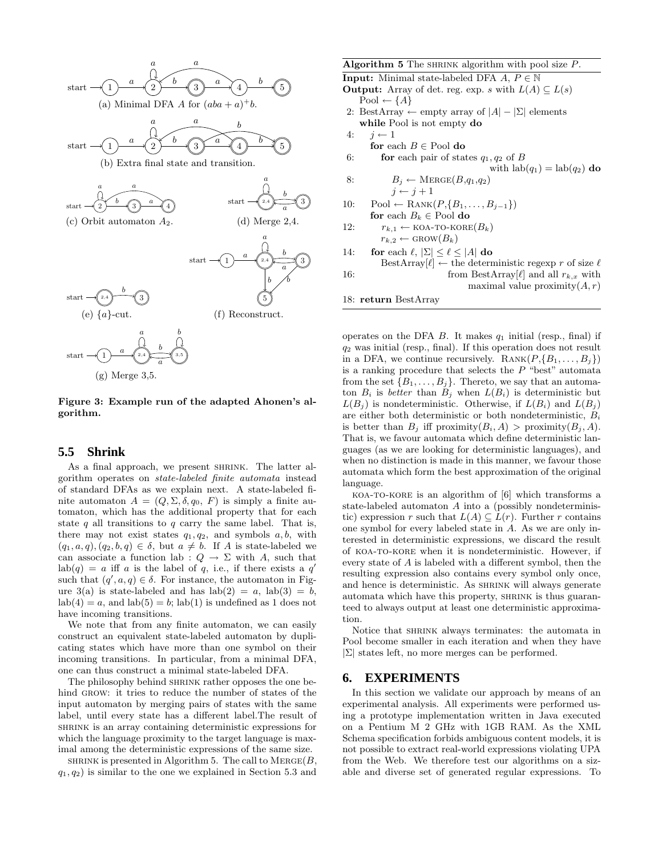

Figure 3: Example run of the adapted Ahonen's algorithm.

# **5.5 Shrink**

As a final approach, we present shrink. The latter algorithm operates on state-labeled finite automata instead of standard DFAs as we explain next. A state-labeled finite automaton  $A = (Q, \Sigma, \delta, q_0, F)$  is simply a finite automaton, which has the additional property that for each state  $q$  all transitions to  $q$  carry the same label. That is, there may not exist states  $q_1, q_2$ , and symbols  $a, b$ , with  $(q_1, a, q), (q_2, b, q) \in \delta$ , but  $a \neq b$ . If A is state-labeled we can associate a function lab :  $Q \rightarrow \Sigma$  with A, such that  $\text{lab}(q) = a$  iff a is the label of q, i.e., if there exists a q' such that  $(q', a, q) \in \delta$ . For instance, the automaton in Figure 3(a) is state-labeled and has  $\text{lab}(2) = a$ ,  $\text{lab}(3) = b$ ,  $lab(4) = a$ , and  $lab(5) = b$ ;  $lab(1)$  is undefined as 1 does not have incoming transitions.

We note that from any finite automaton, we can easily construct an equivalent state-labeled automaton by duplicating states which have more than one symbol on their incoming transitions. In particular, from a minimal DFA, one can thus construct a minimal state-labeled DFA.

The philosophy behind SHRINK rather opposes the one behind GROW: it tries to reduce the number of states of the input automaton by merging pairs of states with the same label, until every state has a different label.The result of shrink is an array containing deterministic expressions for which the language proximity to the target language is maximal among the deterministic expressions of the same size.

SHRINK is presented in Algorithm 5. The call to  $MERGE(B,$  $q_1, q_2$ ) is similar to the one we explained in Section 5.3 and

|     | <b>Algorithm 5</b> The SHRINK algorithm with pool size $P$ .            |
|-----|-------------------------------------------------------------------------|
|     | <b>Input:</b> Minimal state-labeled DFA $A, P \in \mathbb{N}$           |
|     | <b>Output:</b> Array of det. reg. exp. s with $L(A) \subseteq L(s)$     |
|     | Pool $\leftarrow \{A\}$                                                 |
|     | 2: BestArray $\leftarrow$ empty array of $ A  -  \Sigma $ elements      |
|     | while Pool is not empty do                                              |
|     | 4: $j \leftarrow 1$                                                     |
|     | for each $B \in \text{Pool}$ do                                         |
| 6:  | for each pair of states $q_1, q_2$ of B                                 |
|     | with $\text{lab}(q_1) = \text{lab}(q_2) \textbf{ do}$                   |
| 8:  | $B_i \leftarrow \text{MERGE}(B,q_1,q_2)$                                |
|     | $i \leftarrow i+1$                                                      |
| 10: | Pool $\leftarrow$ RANK $(P, {B_1, \ldots, B_{i-1}})$                    |
|     | for each $B_k \in \text{Pool}$ do                                       |
| 12: | $r_{k,1} \leftarrow \text{KOA-TO-KORE}(B_k)$                            |
|     | $r_{k,2} \leftarrow$ GROW $(B_k)$                                       |
| 14: | for each $\ell,  \Sigma  \leq \ell \leq  A $ do                         |
|     | BestArray $[\ell] \leftarrow$ the deterministic regexp r of size $\ell$ |
| 16: | from BestArray [ $\ell$ ] and all $r_{k,x}$ with                        |
|     | maximal value proximity $(A, r)$                                        |
|     | 18: return BestArray                                                    |
|     |                                                                         |

operates on the DFA  $B$ . It makes  $q_1$  initial (resp., final) if  $q_2$  was initial (resp., final). If this operation does not result in a DFA, we continue recursively.  $\text{RANK}(P, \{B_1, \ldots, B_i\})$ is a ranking procedure that selects the  $P$  "best" automata from the set  $\{B_1, \ldots, B_i\}$ . Thereto, we say that an automaton  $B_i$  is *better* than  $B_j$  when  $L(B_i)$  is deterministic but  $L(B_i)$  is nondeterministic. Otherwise, if  $L(B_i)$  and  $L(B_j)$ are either both deterministic or both nondeterministic,  $B_i$ is better than  $B_j$  iff proximity $(B_i, A) >$  proximity $(B_j, A)$ . That is, we favour automata which define deterministic languages (as we are looking for deterministic languages), and when no distinction is made in this manner, we favour those automata which form the best approximation of the original language.

koa-to-kore is an algorithm of [6] which transforms a state-labeled automaton A into a (possibly nondeterministic) expression r such that  $L(A) \subseteq L(r)$ . Further r contains one symbol for every labeled state in A. As we are only interested in deterministic expressions, we discard the result of koa-to-kore when it is nondeterministic. However, if every state of A is labeled with a different symbol, then the resulting expression also contains every symbol only once, and hence is deterministic. As SHRINK will always generate automata which have this property, SHRINK is thus guaranteed to always output at least one deterministic approximation.

Notice that SHRINK always terminates: the automata in Pool become smaller in each iteration and when they have  $|\Sigma|$  states left, no more merges can be performed.

## **6. EXPERIMENTS**

In this section we validate our approach by means of an experimental analysis. All experiments were performed using a prototype implementation written in Java executed on a Pentium M 2 GHz with 1GB RAM. As the XML Schema specification forbids ambiguous content models, it is not possible to extract real-world expressions violating UPA from the Web. We therefore test our algorithms on a sizable and diverse set of generated regular expressions. To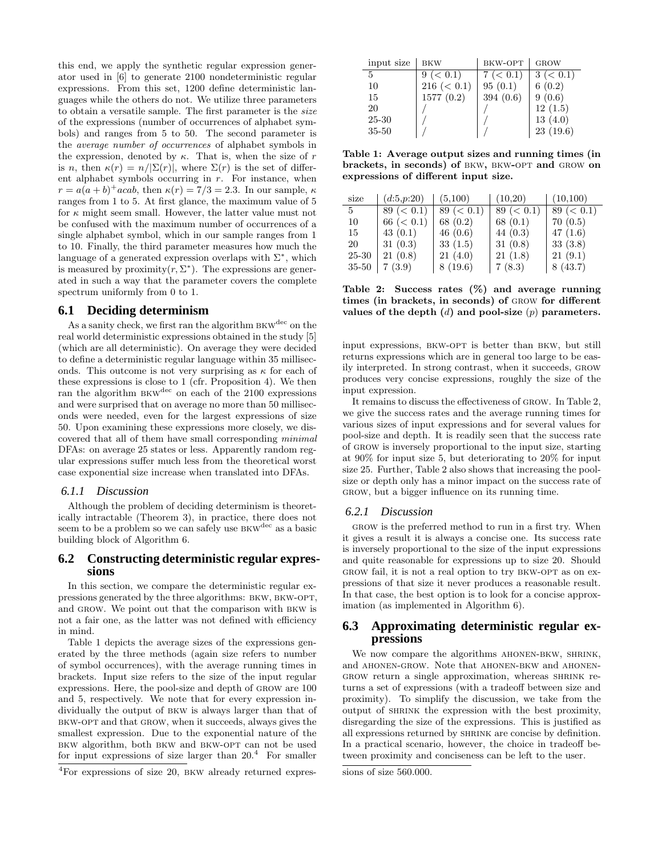this end, we apply the synthetic regular expression generator used in [6] to generate 2100 nondeterministic regular expressions. From this set, 1200 define deterministic languages while the others do not. We utilize three parameters to obtain a versatile sample. The first parameter is the size of the expressions (number of occurrences of alphabet symbols) and ranges from 5 to 50. The second parameter is the average number of occurrences of alphabet symbols in the expression, denoted by  $\kappa$ . That is, when the size of r is *n*, then  $\kappa(r) = n/|\Sigma(r)|$ , where  $\Sigma(r)$  is the set of different alphabet symbols occurring in  $r$ . For instance, when  $r = a(a+b)^+acab$ , then  $\kappa(r) = 7/3 = 2.3$ . In our sample,  $\kappa$ ranges from 1 to 5. At first glance, the maximum value of 5 for  $\kappa$  might seem small. However, the latter value must not be confused with the maximum number of occurrences of a single alphabet symbol, which in our sample ranges from 1 to 10. Finally, the third parameter measures how much the language of a generated expression overlaps with  $\Sigma^*$ , which is measured by proximity $(r, \Sigma^*)$ . The expressions are generated in such a way that the parameter covers the complete spectrum uniformly from 0 to 1.

#### **6.1 Deciding determinism**

As a sanity check, we first ran the algorithm BKW<sup>dec</sup> on the real world deterministic expressions obtained in the study [5] (which are all deterministic). On average they were decided to define a deterministic regular language within 35 milliseconds. This outcome is not very surprising as  $\kappa$  for each of these expressions is close to 1 (cfr. Proposition 4). We then ran the algorithm BKW<sup>dec</sup> on each of the 2100 expressions and were surprised that on average no more than 50 milliseconds were needed, even for the largest expressions of size 50. Upon examining these expressions more closely, we discovered that all of them have small corresponding minimal DFAs: on average 25 states or less. Apparently random regular expressions suffer much less from the theoretical worst case exponential size increase when translated into DFAs.

#### *6.1.1 Discussion*

Although the problem of deciding determinism is theoretically intractable (Theorem 3), in practice, there does not seem to be a problem so we can safely use BKW<sup>dec</sup> as a basic building block of Algorithm 6.

# **6.2 Constructing deterministic regular expressions**

In this section, we compare the deterministic regular expressions generated by the three algorithms: BKW, BKW-OPT, and grow. We point out that the comparison with bkw is not a fair one, as the latter was not defined with efficiency in mind.

Table 1 depicts the average sizes of the expressions generated by the three methods (again size refers to number of symbol occurrences), with the average running times in brackets. Input size refers to the size of the input regular expressions. Here, the pool-size and depth of grow are 100 and 5, respectively. We note that for every expression individually the output of bkw is always larger than that of bkw-opt and that grow, when it succeeds, always gives the smallest expression. Due to the exponential nature of the bkw algorithm, both bkw and bkw-opt can not be used for input expressions of size larger than  $20<sup>4</sup>$  For smaller

| input size | <b>BKW</b>            | <b>BKW-OPT</b> | <b>GROW</b> |
|------------|-----------------------|----------------|-------------|
| 5          | $\frac{1}{9}$ (< 0.1) | 7 (< 0.1)      | 3 (< 0.1)   |
| 10         | 216 (< 0.1)           | 95(0.1)        | 6(0.2)      |
| 15         | 1577(0.2)             | 394(0.6)       | 9(0.6)      |
| 20         |                       |                | 12(1.5)     |
| 25-30      |                       |                | 13(4.0)     |
| 35-50      |                       |                | 23(19.6)    |

Table 1: Average output sizes and running times (in brackets, in seconds) of BKW, BKW-OPT and GROW on expressions of different input size.

| size        | (d:5,p:20)     | (5,100)    | (10,20)    | (10,100)   |
|-------------|----------------|------------|------------|------------|
| $5^{\circ}$ | 89 (< 0.1)     | 89 (< 0.1) | 89 (< 0.1) | 89 (< 0.1) |
| 10          | 66 ( $< 0.1$ ) | 68 (0.2)   | 68 $(0.1)$ | 70(0.5)    |
| 15          | 43(0.1)        | 46(0.6)    | 44 (0.3)   | 47(1.6)    |
| 20          | 31(0.3)        | 33(1.5)    | 31(0.8)    | 33(3.8)    |
| 25-30       | 21(0.8)        | 21(4.0)    | 21(1.8)    | 21(9.1)    |
| 35-50       | 7(3.9)         | 8(19.6)    | 7(8.3)     | 8(43.7)    |

Table 2: Success rates (%) and average running times (in brackets, in seconds) of GROW for different values of the depth  $(d)$  and pool-size  $(p)$  parameters.

input expressions, BKW-OPT is better than BKW, but still returns expressions which are in general too large to be easily interpreted. In strong contrast, when it succeeds, grow produces very concise expressions, roughly the size of the input expression.

It remains to discuss the effectiveness of grow. In Table 2, we give the success rates and the average running times for various sizes of input expressions and for several values for pool-size and depth. It is readily seen that the success rate of grow is inversely proportional to the input size, starting at 90% for input size 5, but deteriorating to 20% for input size 25. Further, Table 2 also shows that increasing the poolsize or depth only has a minor impact on the success rate of grow, but a bigger influence on its running time.

#### *6.2.1 Discussion*

grow is the preferred method to run in a first try. When it gives a result it is always a concise one. Its success rate is inversely proportional to the size of the input expressions and quite reasonable for expressions up to size 20. Should grow fail, it is not a real option to try bkw-opt as on expressions of that size it never produces a reasonable result. In that case, the best option is to look for a concise approximation (as implemented in Algorithm 6).

### **6.3 Approximating deterministic regular expressions**

We now compare the algorithms AHONEN-BKW, SHRINK, and ahonen-grow. Note that ahonen-bkw and ahonengrow return a single approximation, whereas shrink returns a set of expressions (with a tradeoff between size and proximity). To simplify the discussion, we take from the output of shrink the expression with the best proximity, disregarding the size of the expressions. This is justified as all expressions returned by SHRINK are concise by definition. In a practical scenario, however, the choice in tradeoff between proximity and conciseness can be left to the user.

sions of size 560.000.

<sup>4</sup>For expressions of size 20, bkw already returned expres-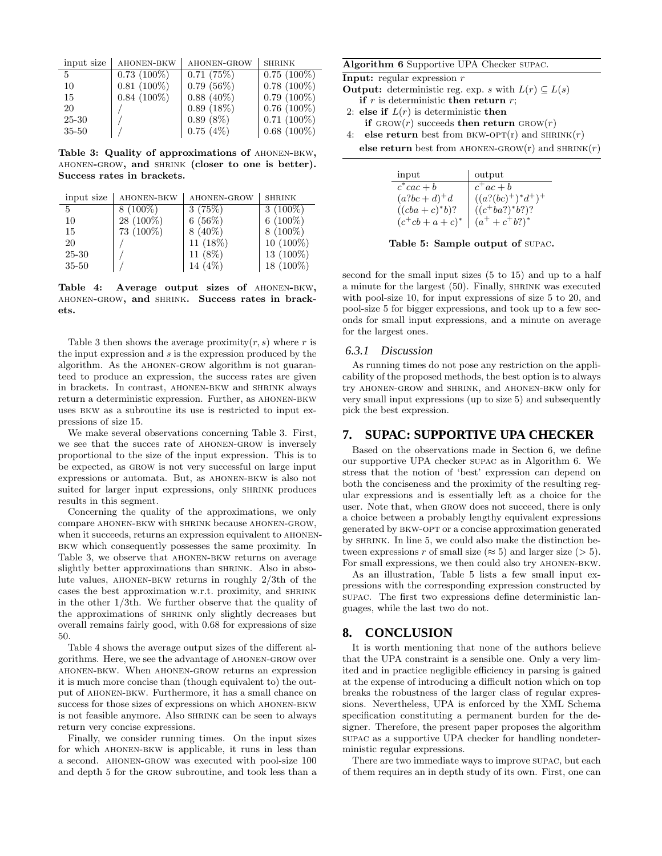| input size | <b>AHONEN-BKW</b> | AHONEN-GROW  | <b>SHRINK</b>  |
|------------|-------------------|--------------|----------------|
| 5          | $0.73(100\%)$     | 0.71(75%)    | $0.75(100\%)$  |
| 10         | $0.81(100\%)$     | $0.79(56\%)$ | $0.78(100\%)$  |
| 15         | $0.84(100\%)$     | $0.88(40\%)$ | $0.79(100\%)$  |
| 20         |                   | $0.89(18\%)$ | $0.76(100\%)$  |
| 25-30      |                   | 0.89(8%)     | $0.71~(100\%)$ |
| $35 - 50$  |                   | 0.75(4%)     | $0.68(100\%)$  |

Table 3: Quality of approximations of ahonen-bkw, ahonen-grow, and shrink (closer to one is better). Success rates in brackets.

| input size | <b>AHONEN-BKW</b> | <b>AHONEN-GROW</b> | <b>SHRINK</b> |
|------------|-------------------|--------------------|---------------|
| 5          | $8(100\%)$        | 3(75%)             | $3(100\%)$    |
| 10         | $28(100\%)$       | 6(56%)             | $6(100\%)$    |
| 15         | 73 (100%)         | $8(40\%)$          | $8(100\%)$    |
| 20         |                   | 11 (18%)           | $10(100\%)$   |
| 25-30      |                   | 11 $(8\%)$         | $13(100\%)$   |
| $35 - 50$  |                   | 14 $(4%)$          | 18 (100%)     |

Table 4: Average output sizes of ahonen-bkw, ahonen-grow, and shrink. Success rates in brackets.

Table 3 then shows the average proximity $(r, s)$  where r is the input expression and s is the expression produced by the algorithm. As the ahonen-grow algorithm is not guaranteed to produce an expression, the success rates are given in brackets. In contrast, ahonen-bkw and shrink always return a deterministic expression. Further, as ahonen-bkw uses bkw as a subroutine its use is restricted to input expressions of size 15.

We make several observations concerning Table 3. First, we see that the succes rate of ahonen-grow is inversely proportional to the size of the input expression. This is to be expected, as grow is not very successful on large input expressions or automata. But, as ahonen-bkw is also not suited for larger input expressions, only SHRINK produces results in this segment.

Concerning the quality of the approximations, we only compare ahonen-bkw with shrink because ahonen-grow, when it succeeds, returns an expression equivalent to ahonenbkw which consequently possesses the same proximity. In Table 3, we observe that ahonen-bkw returns on average slightly better approximations than SHRINK. Also in absolute values, ahonen-bkw returns in roughly 2/3th of the cases the best approximation w.r.t. proximity, and SHRINK in the other 1/3th. We further observe that the quality of the approximations of SHRINK only slightly decreases but overall remains fairly good, with 0.68 for expressions of size 50.

Table 4 shows the average output sizes of the different algorithms. Here, we see the advantage of ahonen-grow over ahonen-bkw. When ahonen-grow returns an expression it is much more concise than (though equivalent to) the output of ahonen-bkw. Furthermore, it has a small chance on success for those sizes of expressions on which AHONEN-BKW is not feasible anymore. Also shrink can be seen to always return very concise expressions.

Finally, we consider running times. On the input sizes for which ahonen-bkw is applicable, it runs in less than a second. ahonen-grow was executed with pool-size 100 and depth 5 for the grow subroutine, and took less than a

#### Algorithm 6 Supportive UPA Checker supac.

**Input:** regular expression  $r$ 

- **Output:** deterministic reg. exp. s with  $L(r) \subseteq L(s)$ if  $r$  is deterministic then return  $r$ ;
- 2: else if  $L(r)$  is deterministic then if  $GROW(r)$  succeeds then return  $GROW(r)$
- 4: else return best from BKW-OPT(r) and SHRINK $(r)$
- else return best from AHONEN-GROW(r) and SHRINK $(r)$

| input               | output                    |
|---------------------|---------------------------|
| $c^*cac + b$        | $c^+ac+b$                 |
| $(a?bc+d)^+d$       | $((a? (bc)^{+})^* d^+)^+$ |
| $((cba+c)*b)$ ?     | $((c^+ba?)^*b?)$ ?        |
| $(c^+cb + a + c)^*$ | $(a^+ + c^+b?)^*$         |

Table 5: Sample output of supac.

second for the small input sizes (5 to 15) and up to a half a minute for the largest (50). Finally, shrink was executed with pool-size 10, for input expressions of size 5 to 20, and pool-size 5 for bigger expressions, and took up to a few seconds for small input expressions, and a minute on average for the largest ones.

#### *6.3.1 Discussion*

As running times do not pose any restriction on the applicability of the proposed methods, the best option is to always try ahonen-grow and shrink, and ahonen-bkw only for very small input expressions (up to size 5) and subsequently pick the best expression.

## **7. SUPAC: SUPPORTIVE UPA CHECKER**

Based on the observations made in Section 6, we define our supportive UPA checker supac as in Algorithm 6. We stress that the notion of 'best' expression can depend on both the conciseness and the proximity of the resulting regular expressions and is essentially left as a choice for the user. Note that, when grow does not succeed, there is only a choice between a probably lengthy equivalent expressions generated by BKW-OPT or a concise approximation generated by SHRINK. In line 5, we could also make the distinction between expressions r of small size  $(\approx 5)$  and larger size ( $> 5$ ). For small expressions, we then could also try ahonen-bkw.

As an illustration, Table 5 lists a few small input expressions with the corresponding expression constructed by supac. The first two expressions define deterministic languages, while the last two do not.

## **8. CONCLUSION**

It is worth mentioning that none of the authors believe that the UPA constraint is a sensible one. Only a very limited and in practice negligible efficiency in parsing is gained at the expense of introducing a difficult notion which on top breaks the robustness of the larger class of regular expressions. Nevertheless, UPA is enforced by the XML Schema specification constituting a permanent burden for the designer. Therefore, the present paper proposes the algorithm supace as a supportive UPA checker for handling nondeterministic regular expressions.

There are two immediate ways to improve supac, but each of them requires an in depth study of its own. First, one can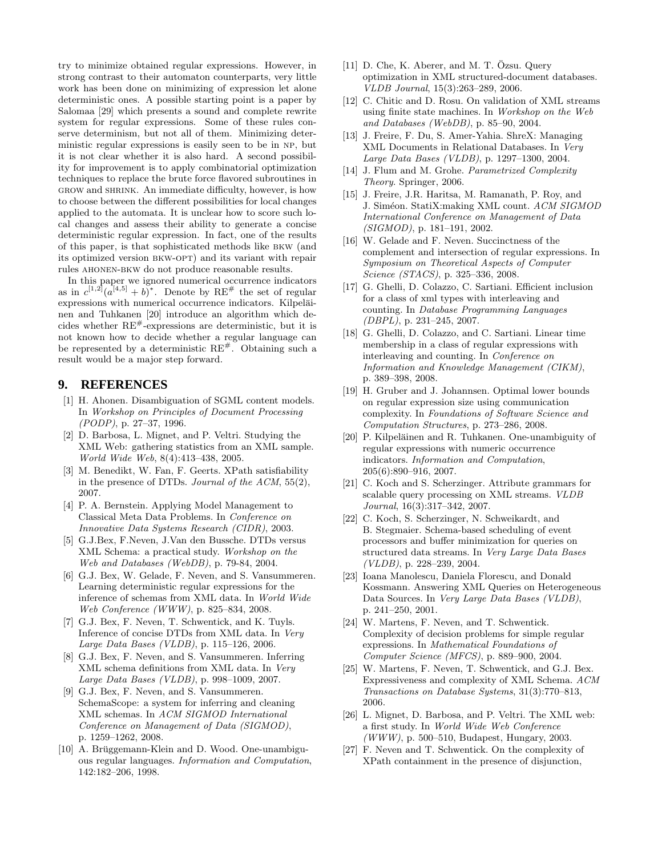try to minimize obtained regular expressions. However, in strong contrast to their automaton counterparts, very little work has been done on minimizing of expression let alone deterministic ones. A possible starting point is a paper by Salomaa [29] which presents a sound and complete rewrite system for regular expressions. Some of these rules conserve determinism, but not all of them. Minimizing deterministic regular expressions is easily seen to be in NP, but it is not clear whether it is also hard. A second possibility for improvement is to apply combinatorial optimization techniques to replace the brute force flavored subroutines in grow and shrink. An immediate difficulty, however, is how to choose between the different possibilities for local changes applied to the automata. It is unclear how to score such local changes and assess their ability to generate a concise deterministic regular expression. In fact, one of the results of this paper, is that sophisticated methods like bkw (and its optimized version bkw-opt) and its variant with repair rules ahonen-bkw do not produce reasonable results.

In this paper we ignored numerical occurrence indicators as in  $c^{[1,2]}(a^{[4,5]}+b)^*$ . Denote by  $\text{RE}^{\#}$  the set of regular expressions with numerical occurrence indicators. Kilpeläinen and Tuhkanen [20] introduce an algorithm which decides whether  $RE^{\#}$ -expressions are deterministic, but it is not known how to decide whether a regular language can be represented by a deterministic  $RE^{\#}$ . Obtaining such a result would be a major step forward.

## **9. REFERENCES**

- [1] H. Ahonen. Disambiguation of SGML content models. In Workshop on Principles of Document Processing (PODP), p. 27–37, 1996.
- [2] D. Barbosa, L. Mignet, and P. Veltri. Studying the XML Web: gathering statistics from an XML sample. World Wide Web, 8(4):413–438, 2005.
- [3] M. Benedikt, W. Fan, F. Geerts. XPath satisfiability in the presence of DTDs. Journal of the ACM, 55(2), 2007.
- [4] P. A. Bernstein. Applying Model Management to Classical Meta Data Problems. In Conference on Innovative Data Systems Research (CIDR), 2003.
- [5] G.J.Bex, F.Neven, J.Van den Bussche. DTDs versus XML Schema: a practical study. Workshop on the Web and Databases (WebDB), p. 79-84, 2004.
- [6] G.J. Bex, W. Gelade, F. Neven, and S. Vansummeren. Learning deterministic regular expressions for the inference of schemas from XML data. In World Wide Web Conference (WWW), p. 825–834, 2008.
- [7] G.J. Bex, F. Neven, T. Schwentick, and K. Tuyls. Inference of concise DTDs from XML data. In Very Large Data Bases (VLDB), p. 115–126, 2006.
- [8] G.J. Bex, F. Neven, and S. Vansummeren. Inferring XML schema definitions from XML data. In Very Large Data Bases (VLDB), p. 998–1009, 2007.
- [9] G.J. Bex, F. Neven, and S. Vansummeren. SchemaScope: a system for inferring and cleaning XML schemas. In ACM SIGMOD International Conference on Management of Data (SIGMOD), p. 1259–1262, 2008.
- [10] A. Brüggemann-Klein and D. Wood. One-unambiguous regular languages. Information and Computation, 142:182–206, 1998.
- [11] D. Che, K. Aberer, and M. T.  $\ddot{O}$ zsu. Query optimization in XML structured-document databases. VLDB Journal, 15(3):263–289, 2006.
- [12] C. Chitic and D. Rosu. On validation of XML streams using finite state machines. In Workshop on the Web and Databases (WebDB), p. 85–90, 2004.
- [13] J. Freire, F. Du, S. Amer-Yahia. ShreX: Managing XML Documents in Relational Databases. In Very Large Data Bases (VLDB), p. 1297–1300, 2004.
- [14] J. Flum and M. Grohe. Parametrized Complexity Theory. Springer, 2006.
- [15] J. Freire, J.R. Haritsa, M. Ramanath, P. Roy, and J. Siméon. StatiX:making XML count. ACM SIGMOD International Conference on Management of Data (SIGMOD), p. 181–191, 2002.
- [16] W. Gelade and F. Neven. Succinctness of the complement and intersection of regular expressions. In Symposium on Theoretical Aspects of Computer Science (STACS), p. 325–336, 2008.
- [17] G. Ghelli, D. Colazzo, C. Sartiani. Efficient inclusion for a class of xml types with interleaving and counting. In Database Programming Languages  $(DBPL)$ , p. 231-245, 2007.
- [18] G. Ghelli, D. Colazzo, and C. Sartiani. Linear time membership in a class of regular expressions with interleaving and counting. In Conference on Information and Knowledge Management (CIKM), p. 389–398, 2008.
- [19] H. Gruber and J. Johannsen. Optimal lower bounds on regular expression size using communication complexity. In Foundations of Software Science and Computation Structures, p. 273–286, 2008.
- [20] P. Kilpeläinen and R. Tuhkanen. One-unambiguity of regular expressions with numeric occurrence indicators. Information and Computation, 205(6):890–916, 2007.
- [21] C. Koch and S. Scherzinger. Attribute grammars for scalable query processing on XML streams. VLDB Journal, 16(3):317–342, 2007.
- [22] C. Koch, S. Scherzinger, N. Schweikardt, and B. Stegmaier. Schema-based scheduling of event processors and buffer minimization for queries on structured data streams. In Very Large Data Bases  $(VLDB)$ , p. 228-239, 2004.
- [23] Ioana Manolescu, Daniela Florescu, and Donald Kossmann. Answering XML Queries on Heterogeneous Data Sources. In Very Large Data Bases (VLDB), p. 241–250, 2001.
- [24] W. Martens, F. Neven, and T. Schwentick. Complexity of decision problems for simple regular expressions. In Mathematical Foundations of Computer Science (MFCS), p. 889–900, 2004.
- [25] W. Martens, F. Neven, T. Schwentick, and G.J. Bex. Expressiveness and complexity of XML Schema. ACM Transactions on Database Systems, 31(3):770–813, 2006.
- [26] L. Mignet, D. Barbosa, and P. Veltri. The XML web: a first study. In World Wide Web Conference (WWW), p. 500–510, Budapest, Hungary, 2003.
- [27] F. Neven and T. Schwentick. On the complexity of XPath containment in the presence of disjunction,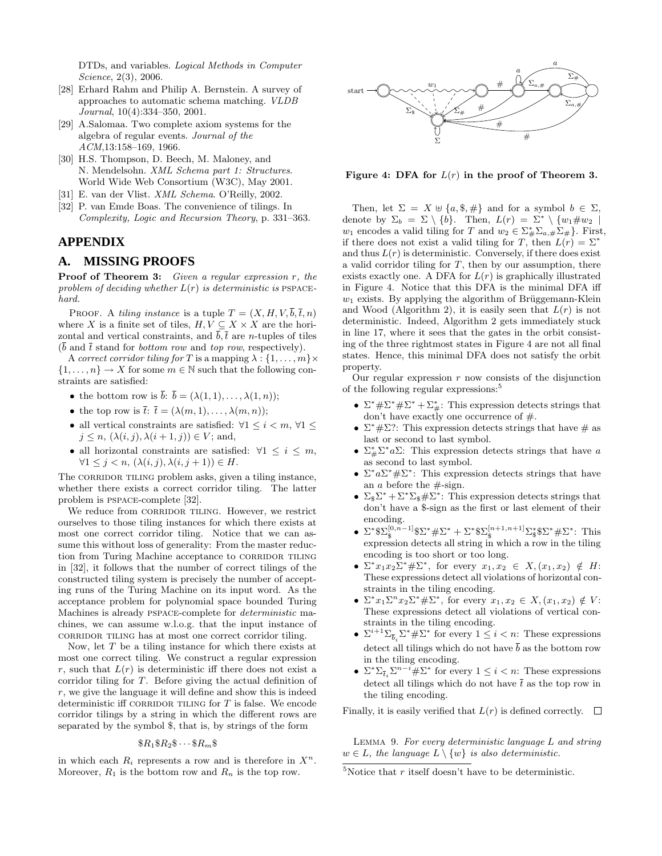DTDs, and variables. Logical Methods in Computer Science, 2(3), 2006.

- [28] Erhard Rahm and Philip A. Bernstein. A survey of approaches to automatic schema matching. VLDB Journal, 10(4):334–350, 2001.
- [29] A.Salomaa. Two complete axiom systems for the algebra of regular events. Journal of the ACM,13:158–169, 1966.
- [30] H.S. Thompson, D. Beech, M. Maloney, and N. Mendelsohn. XML Schema part 1: Structures. World Wide Web Consortium (W3C), May 2001.
- [31] E. van der Vlist. XML Schema. O'Reilly, 2002.
- [32] P. van Emde Boas. The convenience of tilings. In Complexity, Logic and Recursion Theory, p. 331–363.

## **APPENDIX**

## **A. MISSING PROOFS**

Proof of Theorem 3: Given a regular expression r, the problem of deciding whether  $L(r)$  is deterministic is PSPACEhard.

PROOF. A tiling instance is a tuple  $T = (X, H, V, \overline{b}, \overline{t}, n)$ where X is a finite set of tiles,  $H, V \subseteq X \times X$  are the horizontal and vertical constraints, and  $\overline{b}, \overline{t}$  are *n*-tuples of tiles  $(\overline{b}$  and  $\overline{t}$  stand for *bottom row* and *top row*, respectively).

A correct corridor tiling for T is a mapping  $\lambda : \{1, \ldots, m\} \times$  $\{1, \ldots, n\} \to X$  for some  $m \in \mathbb{N}$  such that the following constraints are satisfied:

- the bottom row is  $\overline{b}$ :  $\overline{b} = (\lambda(1, 1), \ldots, \lambda(1, n));$
- the top row is  $\overline{t}$ :  $\overline{t} = (\lambda(m, 1), \ldots, \lambda(m, n));$
- all vertical constraints are satisfied:  $\forall 1 \leq i \leq m, \forall 1 \leq j$  $j \leq n, (\lambda(i, j), \lambda(i + 1, j)) \in V$ ; and,
- all horizontal constraints are satisfied:  $\forall 1 \leq i \leq m$ ,  $\forall 1 \leq j \leq n, (\lambda(i, j), \lambda(i, j + 1)) \in H.$

The CORRIDOR TILING problem asks, given a tiling instance, whether there exists a correct corridor tiling. The latter problem is pspace-complete [32].

We reduce from CORRIDOR TILING. However, we restrict ourselves to those tiling instances for which there exists at most one correct corridor tiling. Notice that we can assume this without loss of generality: From the master reduction from Turing Machine acceptance to CORRIDOR TILING in [32], it follows that the number of correct tilings of the constructed tiling system is precisely the number of accepting runs of the Turing Machine on its input word. As the acceptance problem for polynomial space bounded Turing Machines is already pspace-complete for deterministic machines, we can assume w.l.o.g. that the input instance of corridor tiling has at most one correct corridor tiling.

Now, let  $T$  be a tiling instance for which there exists at most one correct tiling. We construct a regular expression r, such that  $L(r)$  is deterministic iff there does not exist a corridor tiling for T. Before giving the actual definition of r, we give the language it will define and show this is indeed deterministic iff CORRIDOR TILING for  $T$  is false. We encode corridor tilings by a string in which the different rows are separated by the symbol \$, that is, by strings of the form

$$
\$R_1\$R_2\$ \cdots \$R_m\$
$$

in which each  $R_i$  represents a row and is therefore in  $X^n$ . Moreover,  $R_1$  is the bottom row and  $R_n$  is the top row.



Figure 4: DFA for  $L(r)$  in the proof of Theorem 3.

Then, let  $\Sigma = X \uplus \{a, \text{\textsterling}, \# \}$  and for a symbol  $b \in \Sigma$ , denote by  $\Sigma_b = \Sigma \setminus \{b\}$ . Then,  $L(r) = \Sigma^* \setminus \{w_1 \# w_2 \mid$  $w_1$  encodes a valid tiling for T and  $w_2 \in \sum_{\#}^{\ast} \Sigma_{a,\#} \Sigma_{\#}$ . First, if there does not exist a valid tiling for T, then  $L(r) = \Sigma^*$ and thus  $L(r)$  is deterministic. Conversely, if there does exist a valid corridor tiling for  $T$ , then by our assumption, there exists exactly one. A DFA for  $L(r)$  is graphically illustrated in Figure 4. Notice that this DFA is the minimal DFA iff  $w_1$  exists. By applying the algorithm of Brüggemann-Klein and Wood (Algorithm 2), it is easily seen that  $L(r)$  is not deterministic. Indeed, Algorithm 2 gets immediately stuck in line 17, where it sees that the gates in the orbit consisting of the three rightmost states in Figure 4 are not all final states. Hence, this minimal DFA does not satisfy the orbit property.

Our regular expression  $r$  now consists of the disjunction of the following regular expressions:<sup>5</sup>

- $\Sigma^* \# \Sigma^* \# \Sigma^* + \Sigma^* \#$ : This expression detects strings that don't have exactly one occurrence of  $#$ .
- $\Sigma^* \# \Sigma$ ?: This expression detects strings that have  $\#$  as last or second to last symbol.
- $\Sigma_{\#}^* \Sigma^* a \Sigma$ : This expression detects strings that have a as second to last symbol.
- $\Sigma^* a \Sigma^* \# \Sigma^*$ : This expression detects strings that have an  $a$  before the  $\#$ -sign.
- $\Sigma_{\mathcal{S}}\Sigma^* + \Sigma^*\Sigma_{\mathcal{S}}\#\Sigma^*$ : This expression detects strings that don't have a \$-sign as the first or last element of their encoding.
- $\Sigma^* \$ S\Sigma^{[0,n-1]} $\S\Sigma^* \# \Sigma^* + \Sigma^* \$ S\Sigma^{[n+1,n+1]} \Sigma^\* \ $\Sigma^* \# \Sigma^*$ : This expression detects all string in which a row in the tiling encoding is too short or too long.
- $\Sigma^* x_1 x_2 \Sigma^* \# \Sigma^*$ , for every  $x_1, x_2 \in X, (x_1, x_2) \notin H$ : These expressions detect all violations of horizontal constraints in the tiling encoding.
- $\Sigma^* x_1 \Sigma^n x_2 \Sigma^* \# \Sigma^*$ , for every  $x_1, x_2 \in X, (x_1, x_2) \notin V$ : These expressions detect all violations of vertical constraints in the tiling encoding.
- $\Sigma^{i+1} \Sigma_{\overline{b}_i} \Sigma^* \# \Sigma^*$  for every  $1 \leq i < n$ : These expressions detect all tilings which do not have  $\bar{b}$  as the bottom row in the tiling encoding.
- $\Sigma^* \Sigma_{\bar{i}_i} \Sigma^{n-i} \# \Sigma^*$  for every  $1 \leq i < n$ : These expressions detect all tilings which do not have  $\bar{t}$  as the top row in the tiling encoding.

Finally, it is easily verified that  $L(r)$  is defined correctly.  $\Box$ 

LEMMA 9. For every deterministic language  $L$  and string  $w \in L$ , the language  $L \setminus \{w\}$  is also deterministic.

<sup>&</sup>lt;sup>5</sup>Notice that r itself doesn't have to be deterministic.